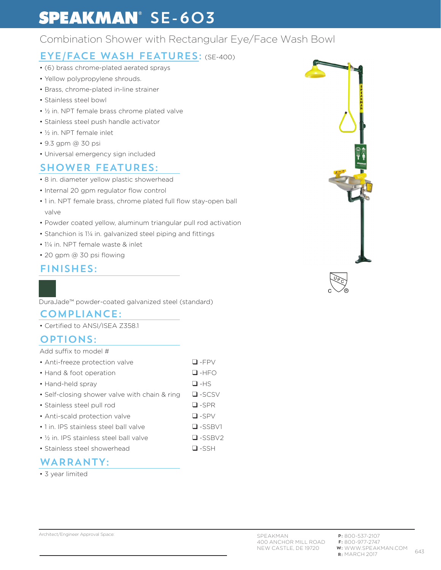# **SPEAKMAN**<sup>®</sup> SE-603

# Combination Shower with Rectangular Eye/Face Wash Bowl

# EYE/FACE WASH FEATURES: (SE-400)

- (6) brass chrome-plated aerated sprays
- Yellow polypropylene shrouds.
- Brass, chrome-plated in-line strainer
- Stainless steel bowl
- ½ in. NPT female brass chrome plated valve
- Stainless steel push handle activator
- ½ in. NPT female inlet
- 9.3 gpm @ 30 psi
- Universal emergency sign included

## SHOWER FEATURES:

- 8 in. diameter yellow plastic showerhead
- Internal 20 gpm regulator flow control
- 1 in. NPT female brass, chrome plated full flow stay-open ball valve
- Powder coated yellow, aluminum triangular pull rod activation
- Stanchion is 1¼ in. galvanized steel piping and fittings
- 1¼ in. NPT female waste & inlet
- 20 gpm @ 30 psi flowing

### FINISHES:

DuraJade™ powder-coated galvanized steel (standard)

#### COMPLIANCE:

• Certified to ANSI/ISEA Z358.1

### OPTIONS:

#### Add suffix to model #

| • Anti-freeze protection valve                       | $\Box$ -FPV   |
|------------------------------------------------------|---------------|
| • Hand & foot operation                              | $\Box$ -HFO   |
| • Hand-held spray                                    | $\Box$ -HS    |
| • Self-closing shower valve with chain & ring        | $\Box$ -SCSV  |
| • Stainless steel pull rod                           | $\Box$ -SPR   |
| • Anti-scald protection valve                        | $\Box$ -SPV   |
| • 1 in. IPS stainless steel ball valve               | $\Box$ -SSBV1 |
| • 1/ <sub>2</sub> in. IPS stainless steel ball valve | $\Box$ -SSBV2 |
|                                                      | $\Box$ $\sim$ |

• Stainless steel showerhead ❑ -SSH

### WARRANTY:

• 3 year limited

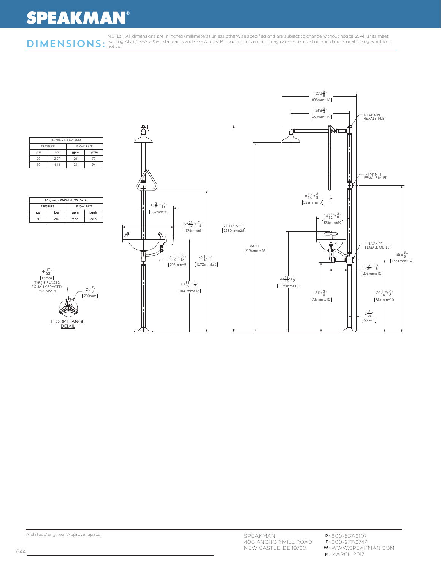# **SPEAKMAN®**



|          |     | SHOWER FLOW DATA |            |       |  |
|----------|-----|------------------|------------|-------|--|
| PRESSURE |     |                  | FI OW RATE |       |  |
|          | psi | bar              | gpm        | L/min |  |
|          | 30  | 2.07             | 20         | 75    |  |
|          | 90  | 4.14             | 25         | VΔ    |  |

|                 | EYE/FACE WASH FLOW DATA |                   |       |  |
|-----------------|-------------------------|-------------------|-------|--|
| <b>PRESSURE</b> |                         | <b>FI OW RATE</b> |       |  |
| psi             | bar                     | gpm               | L/min |  |
| 30              | 2.07                    | 9.55              | 36.6  |  |



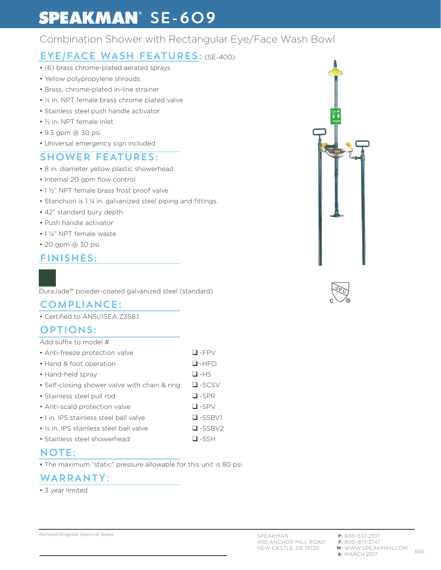# **SPEAKMAN**<sup>®</sup> SE-609

# Combination Shower with Rectangular Eye/Face Wash Bowl

# EYE/FACE WASH FEATURES: (SE-400)

- (6) brass chrome-plated aerated sprays
- Yellow polypropylene shrouds.
- Brass, chrome-plated in-line strainer
- ½ in. NPT female brass chrome plated valve
- Stainless steel push handle activator
- ½ in. NPT female inlet
- 9.3 gpm @ 30 psi
- Universal emergency sign included

# SHOWER FEATURES:

- 8 in. diameter yellow plastic showerhead
- Internal 20 gpm flow control
- 1 ½" NPT female brass frost proof valve
- Stanchion is 1 ¼ in. galvanized steel piping and fittings.
- 42" standard bury depth
- Push handle activator
- 1 ¼" NPT female waste
- 20 gpm @ 30 psi
- FINISHES:



### COMPLIANCE:

• Certified to ANSI/ISEA Z358.1

### OPTIONS:

#### Add suffix to model #

| • Anti-freeze protection valve | $\Box$ -FPV |
|--------------------------------|-------------|
| • Hand & foot operation        | $\Box$ -HFO |

- 
- Hand-held spray ❑ -HS
- Self-closing shower valve with chain & ring ❑ -SCSV
- Stainless steel pull rod ❑ -SPR
- Anti-scald protection valve ❑ -SPV
- 1 in. IPS stainless steel ball valve  $\Box$  -SSBV1
- ½ in. IPS stainless steel ball valve ❑ -SSBV2
- Stainless steel showerhead ❑ -SSH

## NOTE:

• The maximum "static" pressure allowable for this unit is 80 psi

## WARRANTY:

• 3 year limited



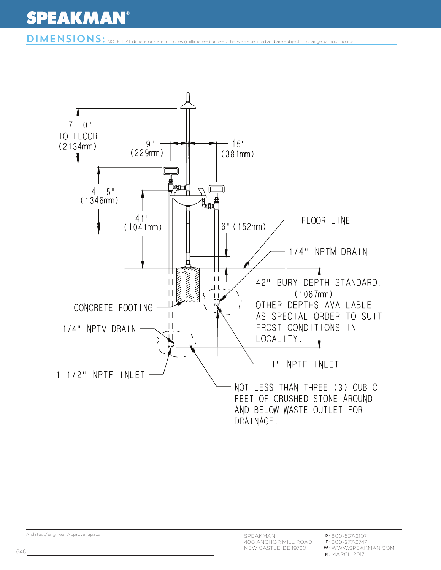DIMENSIONS: NOTE: 1. All dimensions are in inches (millimeters) unless otherwise specified and are subject to change without notice

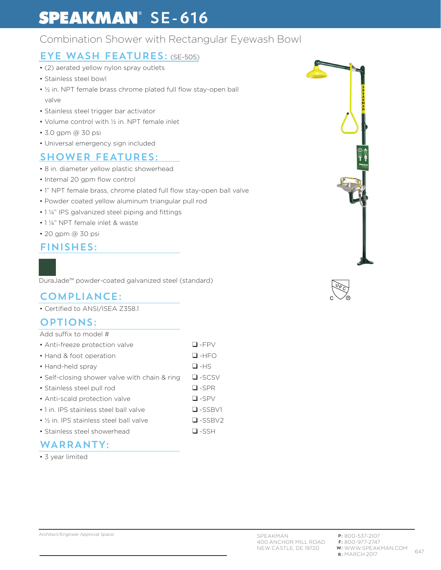# **SPEAKMAN**<sup>®</sup> SE-616

# Combination Shower with Rectangular Eyewash Bowl

# EYE WASH FEATURES: (SE-505)

- (2) aerated yellow nylon spray outlets
- Stainless steel bowl
- ½ in. NPT female brass chrome plated full flow stay-open ball valve
- Stainless steel trigger bar activator
- Volume control with ½ in. NPT female inlet
- 3.0 gpm @ 30 psi
- Universal emergency sign included

# SHOWER FEATURES:

- 8 in. diameter yellow plastic showerhead
- Internal 20 gpm flow control
- 1" NPT female brass, chrome plated full flow stay-open ball valve
- Powder coated yellow aluminum triangular pull rod
- 1 ¼" IPS galvanized steel piping and fittings
- 1 ¼" NPT female inlet & waste
- 20 gpm @ 30 psi

#### FINISHES:

DuraJade™ powder-coated galvanized steel (standard)

### COMPLIANCE:

• Certified to ANSI/ISEA Z358.1

## OPTIONS:

Add suffix to model #

| • Anti-freeze protection valve                       | $\Box$ -FPV    |
|------------------------------------------------------|----------------|
| • Hand & foot operation                              | $\Box$ -HFO    |
| • Hand-held spray                                    | $\Box$ -HS     |
| • Self-closing shower valve with chain & ring        | $\Box$ -SCSV   |
| • Stainless steel pull rod                           | $\Box$ -SPR    |
| • Anti-scald protection valve                        | $\Box$ -SPV    |
| • 1 in. IPS stainless steel ball valve               | $\Box$ -SSBV1  |
| • 1/ <sub>2</sub> in. IPS stainless steel ball valve | $\Box$ -SSBV2  |
| • Stainless steel showerhead                         | $\square$ -SSH |

### WARRANTY:

• 3 year limited